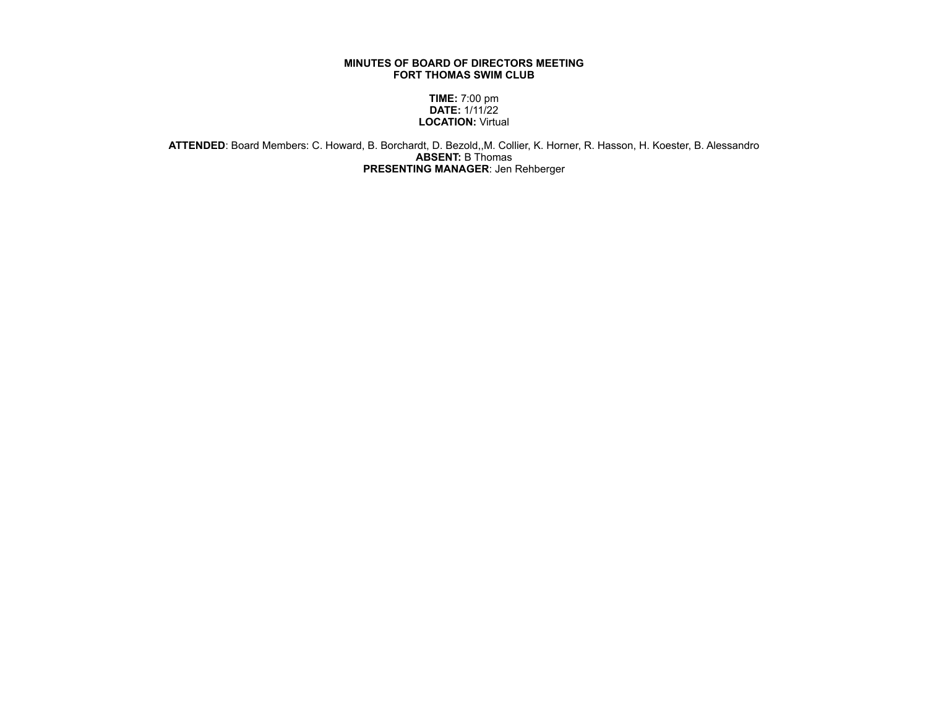## **MINUTES OF BOARD OF DIRECTORS MEETING FORT THOMAS SWIM CLUB**

**TIME:** 7:00 pm **DATE:** 1/11/22 **LOCATION:** Virtual

**ATTENDED**: Board Members: C. Howard, B. Borchardt, D. Bezold,,M. Collier, K. Horner, R. Hasson, H. Koester, B. Alessandro **ABSENT:** B Thomas **PRESENTING MANAGER**: Jen Rehberger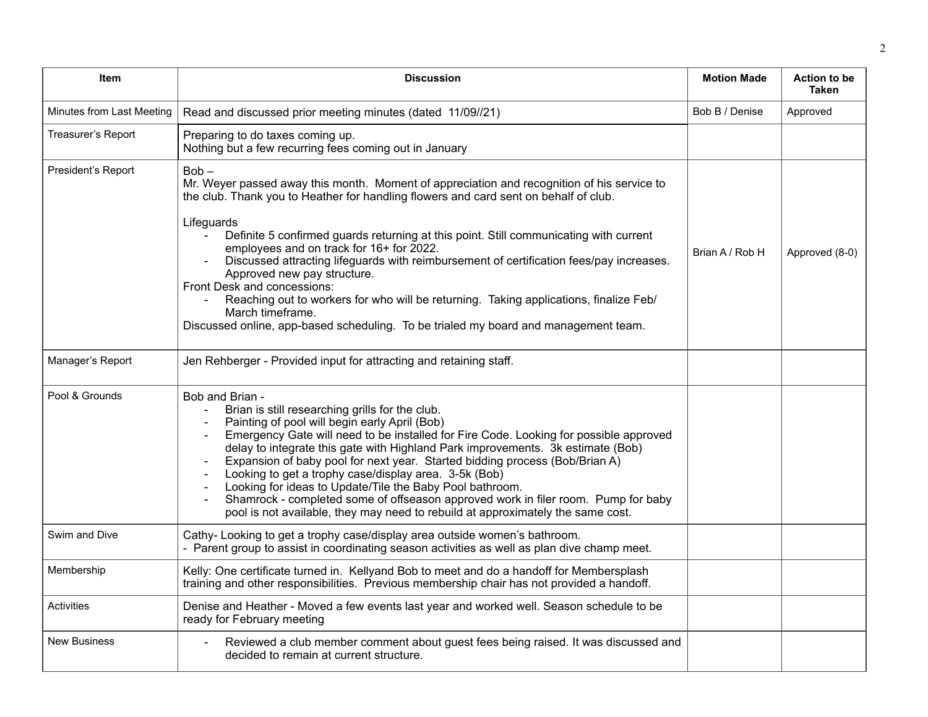| Item                      | <b>Discussion</b>                                                                                                                                                                                                                                                                                                                                                                                                                                                                                                                                                                                                                                                                                             | <b>Motion Made</b> | <b>Action to be</b><br><b>Taken</b> |
|---------------------------|---------------------------------------------------------------------------------------------------------------------------------------------------------------------------------------------------------------------------------------------------------------------------------------------------------------------------------------------------------------------------------------------------------------------------------------------------------------------------------------------------------------------------------------------------------------------------------------------------------------------------------------------------------------------------------------------------------------|--------------------|-------------------------------------|
| Minutes from Last Meeting | Read and discussed prior meeting minutes (dated 11/09//21)                                                                                                                                                                                                                                                                                                                                                                                                                                                                                                                                                                                                                                                    | Bob B / Denise     | Approved                            |
| Treasurer's Report        | Preparing to do taxes coming up.<br>Nothing but a few recurring fees coming out in January                                                                                                                                                                                                                                                                                                                                                                                                                                                                                                                                                                                                                    |                    |                                     |
| President's Report        | $Bob -$<br>Mr. Weyer passed away this month. Moment of appreciation and recognition of his service to<br>the club. Thank you to Heather for handling flowers and card sent on behalf of club.<br>Lifeguards<br>Definite 5 confirmed guards returning at this point. Still communicating with current<br>employees and on track for 16+ for 2022.<br>Discussed attracting lifeguards with reimbursement of certification fees/pay increases.<br>Approved new pay structure.<br>Front Desk and concessions:<br>Reaching out to workers for who will be returning. Taking applications, finalize Feb/<br>March timeframe.<br>Discussed online, app-based scheduling. To be trialed my board and management team. | Brian A / Rob H    | Approved (8-0)                      |
| Manager's Report          | Jen Rehberger - Provided input for attracting and retaining staff.                                                                                                                                                                                                                                                                                                                                                                                                                                                                                                                                                                                                                                            |                    |                                     |
| Pool & Grounds            | Bob and Brian -<br>Brian is still researching grills for the club.<br>Painting of pool will begin early April (Bob)<br>Emergency Gate will need to be installed for Fire Code. Looking for possible approved<br>delay to integrate this gate with Highland Park improvements. 3k estimate (Bob)<br>Expansion of baby pool for next year. Started bidding process (Bob/Brian A)<br>Looking to get a trophy case/display area. 3-5k (Bob)<br>Looking for ideas to Update/Tile the Baby Pool bathroom.<br>Shamrock - completed some of offseason approved work in filer room. Pump for baby<br>pool is not available, they may need to rebuild at approximately the same cost.                                   |                    |                                     |
| Swim and Dive             | Cathy-Looking to get a trophy case/display area outside women's bathroom.<br>- Parent group to assist in coordinating season activities as well as plan dive champ meet.                                                                                                                                                                                                                                                                                                                                                                                                                                                                                                                                      |                    |                                     |
| Membership                | Kelly: One certificate turned in. Kellyand Bob to meet and do a handoff for Membersplash<br>training and other responsibilities. Previous membership chair has not provided a handoff.                                                                                                                                                                                                                                                                                                                                                                                                                                                                                                                        |                    |                                     |
| Activities                | Denise and Heather - Moved a few events last year and worked well. Season schedule to be<br>ready for February meeting                                                                                                                                                                                                                                                                                                                                                                                                                                                                                                                                                                                        |                    |                                     |
| <b>New Business</b>       | Reviewed a club member comment about guest fees being raised. It was discussed and<br>decided to remain at current structure.                                                                                                                                                                                                                                                                                                                                                                                                                                                                                                                                                                                 |                    |                                     |